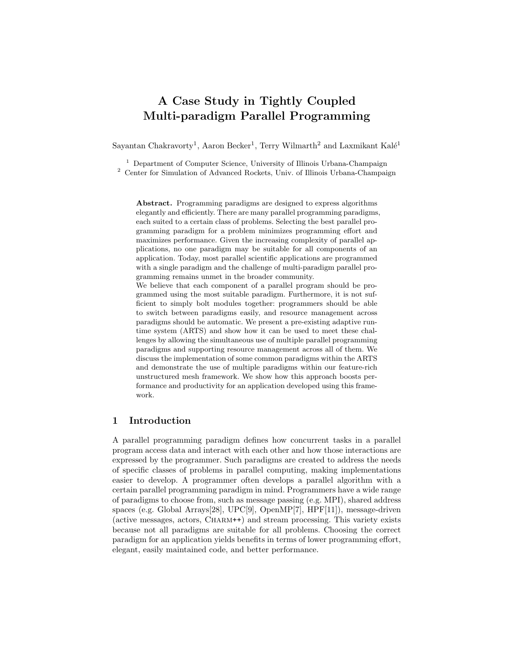# A Case Study in Tightly Coupled Multi-paradigm Parallel Programming

Sayantan Chakravorty<sup>1</sup>, Aaron Becker<sup>1</sup>, Terry Wilmarth<sup>2</sup> and Laxmikant Kalé<sup>1</sup>

<sup>1</sup> Department of Computer Science, University of Illinois Urbana-Champaign <sup>2</sup> Center for Simulation of Advanced Rockets, Univ. of Illinois Urbana-Champaign

Abstract. Programming paradigms are designed to express algorithms elegantly and efficiently. There are many parallel programming paradigms, each suited to a certain class of problems. Selecting the best parallel programming paradigm for a problem minimizes programming effort and maximizes performance. Given the increasing complexity of parallel applications, no one paradigm may be suitable for all components of an application. Today, most parallel scientific applications are programmed with a single paradigm and the challenge of multi-paradigm parallel programming remains unmet in the broader community.

We believe that each component of a parallel program should be programmed using the most suitable paradigm. Furthermore, it is not sufficient to simply bolt modules together: programmers should be able to switch between paradigms easily, and resource management across paradigms should be automatic. We present a pre-existing adaptive runtime system (ARTS) and show how it can be used to meet these challenges by allowing the simultaneous use of multiple parallel programming paradigms and supporting resource management across all of them. We discuss the implementation of some common paradigms within the ARTS and demonstrate the use of multiple paradigms within our feature-rich unstructured mesh framework. We show how this approach boosts performance and productivity for an application developed using this framework.

# 1 Introduction

A parallel programming paradigm defines how concurrent tasks in a parallel program access data and interact with each other and how those interactions are expressed by the programmer. Such paradigms are created to address the needs of specific classes of problems in parallel computing, making implementations easier to develop. A programmer often develops a parallel algorithm with a certain parallel programming paradigm in mind. Programmers have a wide range of paradigms to choose from, such as message passing (e.g. MPI), shared address spaces (e.g. Global Arrays[28], UPC[9], OpenMP[7], HPF[11]), message-driven (active messages, actors, CHARM<sup>++</sup>) and stream processing. This variety exists because not all paradigms are suitable for all problems. Choosing the correct paradigm for an application yields benefits in terms of lower programming effort, elegant, easily maintained code, and better performance.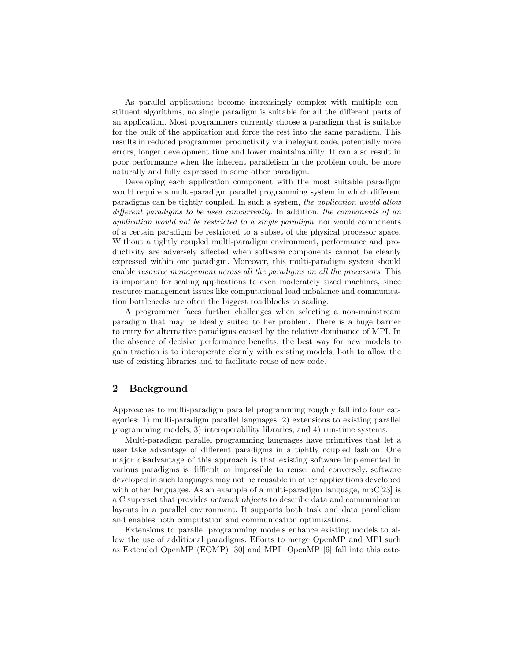As parallel applications become increasingly complex with multiple constituent algorithms, no single paradigm is suitable for all the different parts of an application. Most programmers currently choose a paradigm that is suitable for the bulk of the application and force the rest into the same paradigm. This results in reduced programmer productivity via inelegant code, potentially more errors, longer development time and lower maintainability. It can also result in poor performance when the inherent parallelism in the problem could be more naturally and fully expressed in some other paradigm.

Developing each application component with the most suitable paradigm would require a multi-paradigm parallel programming system in which different paradigms can be tightly coupled. In such a system, the application would allow different paradigms to be used concurrently. In addition, the components of an application would not be restricted to a single paradigm, nor would components of a certain paradigm be restricted to a subset of the physical processor space. Without a tightly coupled multi-paradigm environment, performance and productivity are adversely affected when software components cannot be cleanly expressed within one paradigm. Moreover, this multi-paradigm system should enable resource management across all the paradigms on all the processors. This is important for scaling applications to even moderately sized machines, since resource management issues like computational load imbalance and communication bottlenecks are often the biggest roadblocks to scaling.

A programmer faces further challenges when selecting a non-mainstream paradigm that may be ideally suited to her problem. There is a huge barrier to entry for alternative paradigms caused by the relative dominance of MPI. In the absence of decisive performance benefits, the best way for new models to gain traction is to interoperate cleanly with existing models, both to allow the use of existing libraries and to facilitate reuse of new code.

### 2 Background

Approaches to multi-paradigm parallel programming roughly fall into four categories: 1) multi-paradigm parallel languages; 2) extensions to existing parallel programming models; 3) interoperability libraries; and 4) run-time systems.

Multi-paradigm parallel programming languages have primitives that let a user take advantage of different paradigms in a tightly coupled fashion. One major disadvantage of this approach is that existing software implemented in various paradigms is difficult or impossible to reuse, and conversely, software developed in such languages may not be reusable in other applications developed with other languages. As an example of a multi-paradigm language, mpC[23] is a C superset that provides network objects to describe data and communication layouts in a parallel environment. It supports both task and data parallelism and enables both computation and communication optimizations.

Extensions to parallel programming models enhance existing models to allow the use of additional paradigms. Efforts to merge OpenMP and MPI such as Extended OpenMP (EOMP) [30] and MPI+OpenMP [6] fall into this cate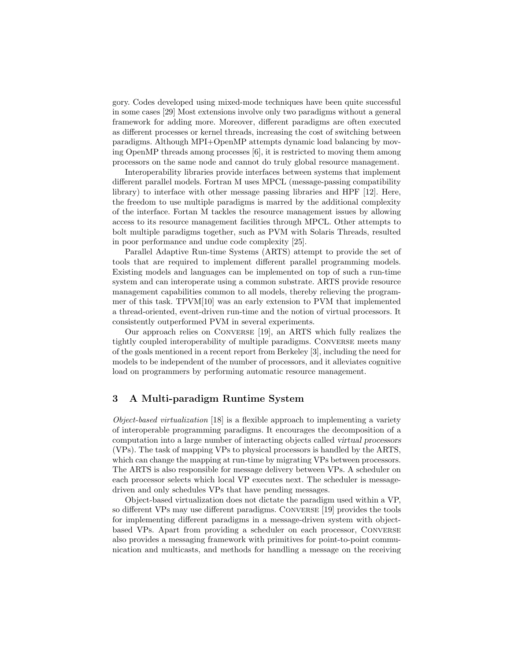gory. Codes developed using mixed-mode techniques have been quite successful in some cases [29] Most extensions involve only two paradigms without a general framework for adding more. Moreover, different paradigms are often executed as different processes or kernel threads, increasing the cost of switching between paradigms. Although MPI+OpenMP attempts dynamic load balancing by moving OpenMP threads among processes [6], it is restricted to moving them among processors on the same node and cannot do truly global resource management.

Interoperability libraries provide interfaces between systems that implement different parallel models. Fortran M uses MPCL (message-passing compatibility library) to interface with other message passing libraries and HPF [12]. Here, the freedom to use multiple paradigms is marred by the additional complexity of the interface. Fortan M tackles the resource management issues by allowing access to its resource management facilities through MPCL. Other attempts to bolt multiple paradigms together, such as PVM with Solaris Threads, resulted in poor performance and undue code complexity [25].

Parallel Adaptive Run-time Systems (ARTS) attempt to provide the set of tools that are required to implement different parallel programming models. Existing models and languages can be implemented on top of such a run-time system and can interoperate using a common substrate. ARTS provide resource management capabilities common to all models, thereby relieving the programmer of this task. TPVM[10] was an early extension to PVM that implemented a thread-oriented, event-driven run-time and the notion of virtual processors. It consistently outperformed PVM in several experiments.

Our approach relies on Converse [19], an ARTS which fully realizes the tightly coupled interoperability of multiple paradigms. Converse meets many of the goals mentioned in a recent report from Berkeley [3], including the need for models to be independent of the number of processors, and it alleviates cognitive load on programmers by performing automatic resource management.

# 3 A Multi-paradigm Runtime System

Object-based virtualization [18] is a flexible approach to implementing a variety of interoperable programming paradigms. It encourages the decomposition of a computation into a large number of interacting objects called virtual processors (VPs). The task of mapping VPs to physical processors is handled by the ARTS, which can change the mapping at run-time by migrating VPs between processors. The ARTS is also responsible for message delivery between VPs. A scheduler on each processor selects which local VP executes next. The scheduler is messagedriven and only schedules VPs that have pending messages.

Object-based virtualization does not dictate the paradigm used within a VP, so different VPs may use different paradigms. Converse [19] provides the tools for implementing different paradigms in a message-driven system with objectbased VPs. Apart from providing a scheduler on each processor, Converse also provides a messaging framework with primitives for point-to-point communication and multicasts, and methods for handling a message on the receiving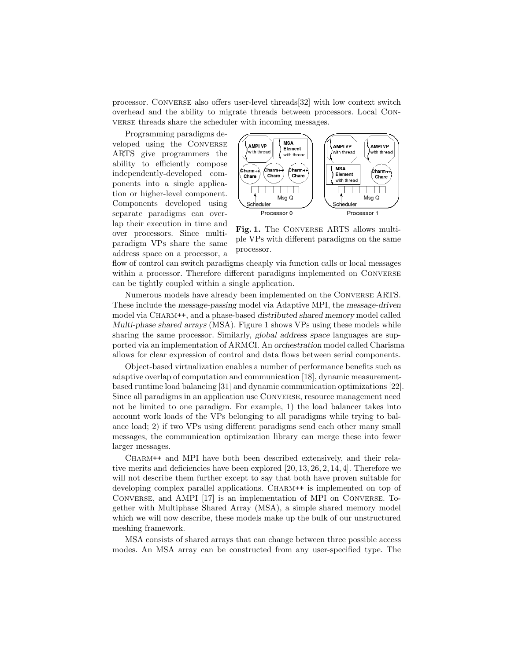processor. Converse also offers user-level threads[32] with low context switch overhead and the ability to migrate threads between processors. Local Converse threads share the scheduler with incoming messages.

Programming paradigms developed using the Converse ARTS give programmers the ability to efficiently compose independently-developed components into a single application or higher-level component. Components developed using separate paradigms can overlap their execution in time and over processors. Since multiparadigm VPs share the same address space on a processor, a



Fig. 1. The Converse ARTS allows multiple VPs with different paradigms on the same processor.

flow of control can switch paradigms cheaply via function calls or local messages within a processor. Therefore different paradigms implemented on Converse can be tightly coupled within a single application.

Numerous models have already been implemented on the Converse ARTS. These include the message-passing model via Adaptive MPI, the message-driven model via CHARM++, and a phase-based distributed shared memory model called Multi-phase shared arrays (MSA). Figure 1 shows VPs using these models while sharing the same processor. Similarly, global address space languages are supported via an implementation of ARMCI. An orchestration model called Charisma allows for clear expression of control and data flows between serial components.

Object-based virtualization enables a number of performance benefits such as adaptive overlap of computation and communication [18], dynamic measurementbased runtime load balancing [31] and dynamic communication optimizations [22]. Since all paradigms in an application use Converse, resource management need not be limited to one paradigm. For example, 1) the load balancer takes into account work loads of the VPs belonging to all paradigms while trying to balance load; 2) if two VPs using different paradigms send each other many small messages, the communication optimization library can merge these into fewer larger messages.

CHARM<sup>++</sup> and MPI have both been described extensively, and their relative merits and deficiencies have been explored [20, 13, 26, 2, 14, 4]. Therefore we will not describe them further except to say that both have proven suitable for developing complex parallel applications. CHARM<sup>++</sup> is implemented on top of Converse, and AMPI [17] is an implementation of MPI on Converse. Together with Multiphase Shared Array (MSA), a simple shared memory model which we will now describe, these models make up the bulk of our unstructured meshing framework.

MSA consists of shared arrays that can change between three possible access modes. An MSA array can be constructed from any user-specified type. The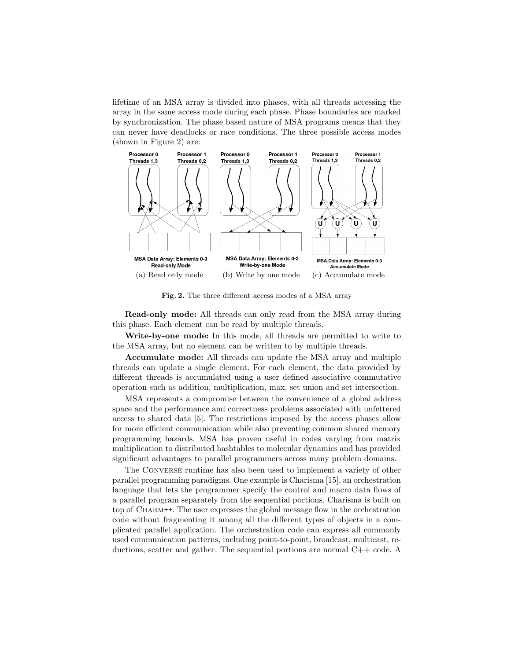lifetime of an MSA array is divided into phases, with all threads accessing the array in the same access mode during each phase. Phase boundaries are marked by synchronization. The phase based nature of MSA programs means that they can never have deadlocks or race conditions. The three possible access modes (shown in Figure 2) are:



Fig. 2. The three different access modes of a MSA array

Read-only mode: All threads can only read from the MSA array during this phase. Each element can be read by multiple threads.

Write-by-one mode: In this mode, all threads are permitted to write to the MSA array, but no element can be written to by multiple threads.

Accumulate mode: All threads can update the MSA array and multiple threads can update a single element. For each element, the data provided by different threads is accumulated using a user defined associative commutative operation such as addition, multiplication, max, set union and set intersection.

MSA represents a compromise between the convenience of a global address space and the performance and correctness problems associated with unfettered access to shared data [5]. The restrictions imposed by the access phases allow for more efficient communication while also preventing common shared memory programming hazards. MSA has proven useful in codes varying from matrix multiplication to distributed hashtables to molecular dynamics and has provided significant advantages to parallel programmers across many problem domains.

The Converse runtime has also been used to implement a variety of other parallel programming paradigms. One example is Charisma [15], an orchestration language that lets the programmer specify the control and macro data flows of a parallel program separately from the sequential portions. Charisma is built on top of Charm++. The user expresses the global message flow in the orchestration code without fragmenting it among all the different types of objects in a complicated parallel application. The orchestration code can express all commonly used communication patterns, including point-to-point, broadcast, multicast, reductions, scatter and gather. The sequential portions are normal C++ code. A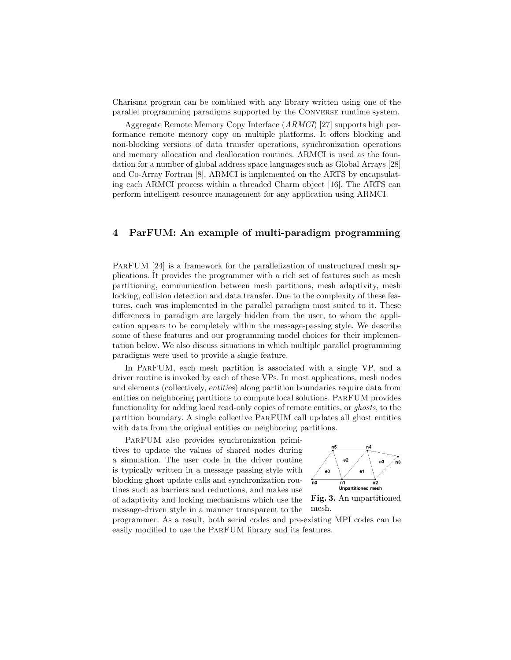Charisma program can be combined with any library written using one of the parallel programming paradigms supported by the Converse runtime system.

Aggregate Remote Memory Copy Interface (ARMCI) [27] supports high performance remote memory copy on multiple platforms. It offers blocking and non-blocking versions of data transfer operations, synchronization operations and memory allocation and deallocation routines. ARMCI is used as the foundation for a number of global address space languages such as Global Arrays [28] and Co-Array Fortran [8]. ARMCI is implemented on the ARTS by encapsulating each ARMCI process within a threaded Charm object [16]. The ARTS can perform intelligent resource management for any application using ARMCI.

## 4 ParFUM: An example of multi-paradigm programming

PARFUM [24] is a framework for the parallelization of unstructured mesh applications. It provides the programmer with a rich set of features such as mesh partitioning, communication between mesh partitions, mesh adaptivity, mesh locking, collision detection and data transfer. Due to the complexity of these features, each was implemented in the parallel paradigm most suited to it. These differences in paradigm are largely hidden from the user, to whom the application appears to be completely within the message-passing style. We describe some of these features and our programming model choices for their implementation below. We also discuss situations in which multiple parallel programming paradigms were used to provide a single feature.

In ParFUM, each mesh partition is associated with a single VP, and a driver routine is invoked by each of these VPs. In most applications, mesh nodes and elements (collectively, entities) along partition boundaries require data from entities on neighboring partitions to compute local solutions. ParFUM provides functionality for adding local read-only copies of remote entities, or ghosts, to the partition boundary. A single collective ParFUM call updates all ghost entities with data from the original entities on neighboring partitions.

ParFUM also provides synchronization primitives to update the values of shared nodes during a simulation. The user code in the driver routine is typically written in a message passing style with blocking ghost update calls and synchronization routines such as barriers and reductions, and makes use of adaptivity and locking mechanisms which use the message-driven style in a manner transparent to the



Fig. 3. An unpartitioned mesh.

programmer. As a result, both serial codes and pre-existing MPI codes can be easily modified to use the ParFUM library and its features.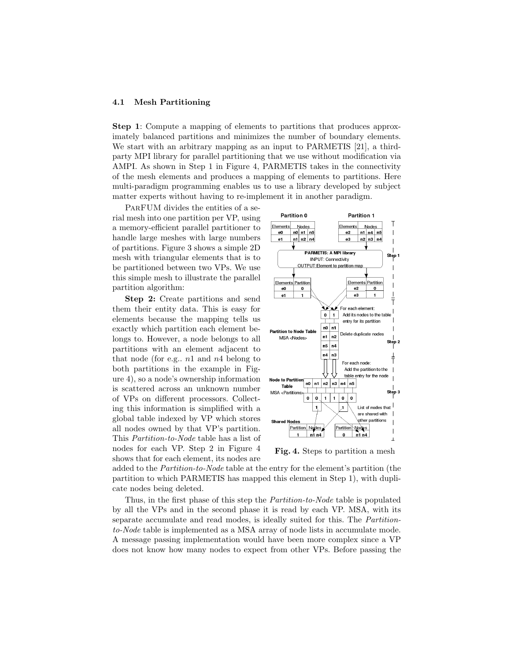#### 4.1 Mesh Partitioning

Step 1: Compute a mapping of elements to partitions that produces approximately balanced partitions and minimizes the number of boundary elements. We start with an arbitrary mapping as an input to PARMETIS [21], a thirdparty MPI library for parallel partitioning that we use without modification via AMPI. As shown in Step 1 in Figure 4, PARMETIS takes in the connectivity of the mesh elements and produces a mapping of elements to partitions. Here multi-paradigm programming enables us to use a library developed by subject matter experts without having to re-implement it in another paradigm.

PARFUM divides the entities of a serial mesh into one partition per VP, using a memory-efficient parallel partitioner to handle large meshes with large numbers of partitions. Figure 3 shows a simple 2D mesh with triangular elements that is to be partitioned between two VPs. We use this simple mesh to illustrate the parallel partition algorithm:

Step 2: Create partitions and send them their entity data. This is easy for elements because the mapping tells us exactly which partition each element belongs to. However, a node belongs to all partitions with an element adjacent to that node (for e.g.,  $n1$  and  $n4$  belong to both partitions in the example in Figure 4), so a node's ownership information is scattered across an unknown number of VPs on different processors. Collecting this information is simplified with a global table indexed by VP which stores all nodes owned by that VP's partition. This Partition-to-Node table has a list of nodes for each VP. Step 2 in Figure 4 shows that for each element, its nodes are



Fig. 4. Steps to partition a mesh

added to the Partition-to-Node table at the entry for the element's partition (the partition to which PARMETIS has mapped this element in Step 1), with duplicate nodes being deleted.

Thus, in the first phase of this step the Partition-to-Node table is populated by all the VPs and in the second phase it is read by each VP. MSA, with its separate accumulate and read modes, is ideally suited for this. The Partitionto-Node table is implemented as a MSA array of node lists in accumulate mode. A message passing implementation would have been more complex since a VP does not know how many nodes to expect from other VPs. Before passing the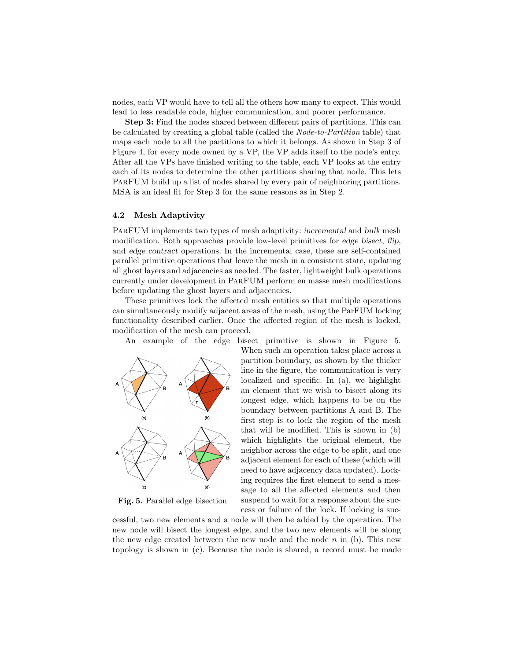nodes, each VP would have to tell all the others how many to expect. This would lead to less readable code, higher communication, and poorer performance.

Step 3: Find the nodes shared between different pairs of partitions. This can be calculated by creating a global table (called the Node-to-Partition table) that maps each node to all the partitions to which it belongs. As shown in Step 3 of Figure 4, for every node owned by a VP, the VP adds itself to the node's entry. After all the VPs have finished writing to the table, each VP looks at the entry each of its nodes to determine the other partitions sharing that node. This lets PARFUM build up a list of nodes shared by every pair of neighboring partitions. MSA is an ideal fit for Step 3 for the same reasons as in Step 2.

### 4.2 Mesh Adaptivity

PARFUM implements two types of mesh adaptivity: incremental and bulk mesh modification. Both approaches provide low-level primitives for edge bisect, flip, and edge contract operations. In the incremental case, these are self-contained parallel primitive operations that leave the mesh in a consistent state, updating all ghost layers and adjacencies as needed. The faster, lightweight bulk operations currently under development in ParFUM perform en masse mesh modifications before updating the ghost layers and adjacencies.

These primitives lock the affected mesh entities so that multiple operations can simultaneously modify adjacent areas of the mesh, using the ParFUM locking functionality described earlier. Once the affected region of the mesh is locked, modification of the mesh can proceed.

An example of the edge bisect primitive is shown in Figure 5.



Fig. 5. Parallel edge bisection

When such an operation takes place across a partition boundary, as shown by the thicker line in the figure, the communication is very localized and specific. In (a), we highlight an element that we wish to bisect along its longest edge, which happens to be on the boundary between partitions A and B. The first step is to lock the region of the mesh that will be modified. This is shown in (b) which highlights the original element, the neighbor across the edge to be split, and one adjacent element for each of these (which will need to have adjacency data updated). Locking requires the first element to send a message to all the affected elements and then suspend to wait for a response about the success or failure of the lock. If locking is suc-

cessful, two new elements and a node will then be added by the operation. The new node will bisect the longest edge, and the two new elements will be along the new edge created between the new node and the node  $n$  in (b). This new topology is shown in (c). Because the node is shared, a record must be made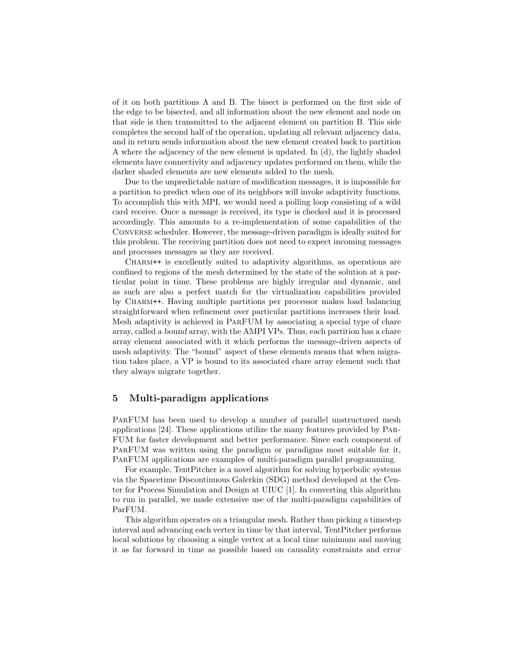of it on both partitions A and B. The bisect is performed on the first side of the edge to be bisected, and all information about the new element and node on that side is then transmitted to the adjacent element on partition B. This side completes the second half of the operation, updating all relevant adjacency data, and in return sends information about the new element created back to partition A where the adjacency of the new element is updated. In (d), the lightly shaded elements have connectivity and adjacency updates performed on them, while the darker shaded elements are new elements added to the mesh.

Due to the unpredictable nature of modification messages, it is impossible for a partition to predict when one of its neighbors will invoke adaptivity functions. To accomplish this with MPI, we would need a polling loop consisting of a wild card receive. Once a message is received, its type is checked and it is processed accordingly. This amounts to a re-implementation of some capabilities of the Converse scheduler. However, the message-driven paradigm is ideally suited for this problem. The receiving partition does not need to expect incoming messages and processes messages as they are received.

Charm++ is excellently suited to adaptivity algorithms, as operations are confined to regions of the mesh determined by the state of the solution at a particular point in time. These problems are highly irregular and dynamic, and as such are also a perfect match for the virtualization capabilities provided by CHARM<sup>++</sup>. Having multiple partitions per processor makes load balancing straightforward when refinement over particular partitions increases their load. Mesh adaptivity is achieved in ParFUM by associating a special type of chare array, called a bound array, with the AMPI VPs. Thus, each partition has a chare array element associated with it which performs the message-driven aspects of mesh adaptivity. The "bound" aspect of these elements means that when migration takes place, a VP is bound to its associated chare array element such that they always migrate together.

# 5 Multi-paradigm applications

ParFUM has been used to develop a number of parallel unstructured mesh applications [24]. These applications utilize the many features provided by Par-FUM for faster development and better performance. Since each component of ParFUM was written using the paradigm or paradigms most suitable for it, PARFUM applications are examples of multi-paradigm parallel programming.

For example, TentPitcher is a novel algorithm for solving hyperbolic systems via the Spacetime Discontinuous Galerkin (SDG) method developed at the Center for Process Simulation and Design at UIUC [1]. In converting this algorithm to run in parallel, we made extensive use of the multi-paradigm capabilities of ParFUM.

This algorithm operates on a triangular mesh. Rather than picking a timestep interval and advancing each vertex in time by that interval, TentPitcher performs local solutions by choosing a single vertex at a local time minimum and moving it as far forward in time as possible based on causality constraints and error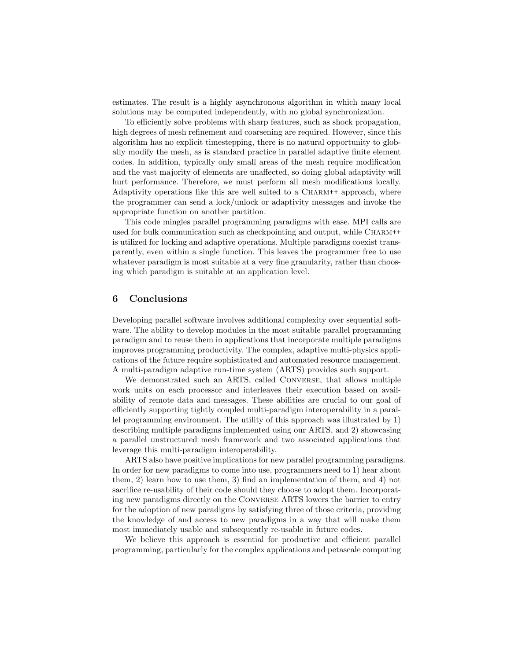estimates. The result is a highly asynchronous algorithm in which many local solutions may be computed independently, with no global synchronization.

To efficiently solve problems with sharp features, such as shock propagation, high degrees of mesh refinement and coarsening are required. However, since this algorithm has no explicit timestepping, there is no natural opportunity to globally modify the mesh, as is standard practice in parallel adaptive finite element codes. In addition, typically only small areas of the mesh require modification and the vast majority of elements are unaffected, so doing global adaptivity will hurt performance. Therefore, we must perform all mesh modifications locally. Adaptivity operations like this are well suited to a CHARM<sup>++</sup> approach, where the programmer can send a lock/unlock or adaptivity messages and invoke the appropriate function on another partition.

This code mingles parallel programming paradigms with ease. MPI calls are used for bulk communication such as checkpointing and output, while CHARM++ is utilized for locking and adaptive operations. Multiple paradigms coexist transparently, even within a single function. This leaves the programmer free to use whatever paradigm is most suitable at a very fine granularity, rather than choosing which paradigm is suitable at an application level.

### 6 Conclusions

Developing parallel software involves additional complexity over sequential software. The ability to develop modules in the most suitable parallel programming paradigm and to reuse them in applications that incorporate multiple paradigms improves programming productivity. The complex, adaptive multi-physics applications of the future require sophisticated and automated resource management. A multi-paradigm adaptive run-time system (ARTS) provides such support.

We demonstrated such an ARTS, called Converse, that allows multiple work units on each processor and interleaves their execution based on availability of remote data and messages. These abilities are crucial to our goal of efficiently supporting tightly coupled multi-paradigm interoperability in a parallel programming environment. The utility of this approach was illustrated by 1) describing multiple paradigms implemented using our ARTS, and 2) showcasing a parallel unstructured mesh framework and two associated applications that leverage this multi-paradigm interoperability.

ARTS also have positive implications for new parallel programming paradigms. In order for new paradigms to come into use, programmers need to 1) hear about them, 2) learn how to use them, 3) find an implementation of them, and 4) not sacrifice re-usability of their code should they choose to adopt them. Incorporating new paradigms directly on the Converse ARTS lowers the barrier to entry for the adoption of new paradigms by satisfying three of those criteria, providing the knowledge of and access to new paradigms in a way that will make them most immediately usable and subsequently re-usable in future codes.

We believe this approach is essential for productive and efficient parallel programming, particularly for the complex applications and petascale computing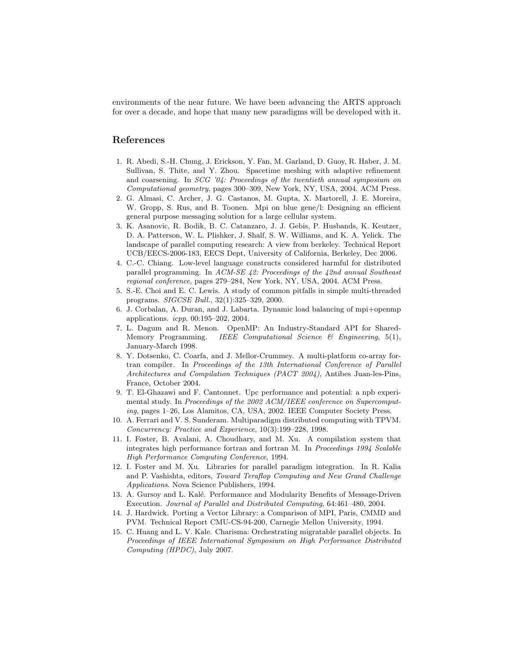environments of the near future. We have been advancing the ARTS approach for over a decade, and hope that many new paradigms will be developed with it.

### References

- 1. R. Abedi, S.-H. Chung, J. Erickson, Y. Fan, M. Garland, D. Guoy, R. Haber, J. M. Sullivan, S. Thite, and Y. Zhou. Spacetime meshing with adaptive refinement and coarsening. In SCG '04: Proceedings of the twentieth annual symposium on Computational geometry, pages 300–309, New York, NY, USA, 2004. ACM Press.
- 2. G. Almasi, C. Archer, J. G. Castanos, M. Gupta, X. Martorell, J. E. Moreira, W. Gropp, S. Rus, and B. Toonen. Mpi on blue gene/l: Designing an efficient general purpose messaging solution for a large cellular system.
- 3. K. Asanovic, R. Bodik, B. C. Catanzaro, J. J. Gebis, P. Husbands, K. Keutzer, D. A. Patterson, W. L. Plishker, J. Shalf, S. W. Williams, and K. A. Yelick. The landscape of parallel computing research: A view from berkeley. Technical Report UCB/EECS-2006-183, EECS Dept, University of California, Berkeley, Dec 2006.
- 4. C.-C. Chiang. Low-level language constructs considered harmful for distributed parallel programming. In ACM-SE 42: Proceedings of the 42nd annual Southeast regional conference, pages 279–284, New York, NY, USA, 2004. ACM Press.
- 5. S.-E. Choi and E. C. Lewis. A study of common pitfalls in simple multi-threaded programs. SIGCSE Bull., 32(1):325–329, 2000.
- 6. J. Corbalan, A. Duran, and J. Labarta. Dynamic load balancing of mpi+openmp applications. icpp, 00:195–202, 2004.
- 7. L. Dagum and R. Menon. OpenMP: An Industry-Standard API for Shared-Memory Programming. *IEEE Computational Science*  $\mathcal{B}$  Engineering, 5(1), January-March 1998.
- 8. Y. Dotsenko, C. Coarfa, and J. Mellor-Crummey. A multi-platform co-array fortran compiler. In Proceedings of the 13th International Conference of Parallel Architectures and Compilation Techniques (PACT 2004), Antibes Juan-les-Pins, France, October 2004.
- 9. T. El-Ghazawi and F. Cantonnet. Upc performance and potential: a npb experimental study. In Proceedings of the 2002 ACM/IEEE conference on Supercomputing, pages 1–26, Los Alamitos, CA, USA, 2002. IEEE Computer Society Press.
- 10. A. Ferrari and V. S. Sunderam. Multiparadigm distributed computing with TPVM. Concurrency: Practice and Experience, 10(3):199–228, 1998.
- 11. I. Foster, B. Avalani, A. Choudhary, and M. Xu. A compilation system that integrates high performance fortran and fortran M. In Proceedings 1994 Scalable High Performance Computing Conference, 1994.
- 12. I. Foster and M. Xu. Libraries for parallel paradigm integration. In R. Kalia and P. Vashishta, editors, Toward Teraflop Computing and New Grand Challenge Applications. Nova Science Publishers, 1994.
- 13. A. Gursoy and L. Kalé. Performance and Modularity Benefits of Message-Driven Execution. Journal of Parallel and Distributed Computing, 64:461–480, 2004.
- 14. J. Hardwick. Porting a Vector Library: a Comparison of MPI, Paris, CMMD and PVM. Technical Report CMU-CS-94-200, Carnegie Mellon University, 1994.
- 15. C. Huang and L. V. Kale. Charisma: Orchestrating migratable parallel objects. In Proceedings of IEEE International Symposium on High Performance Distributed Computing (HPDC), July 2007.